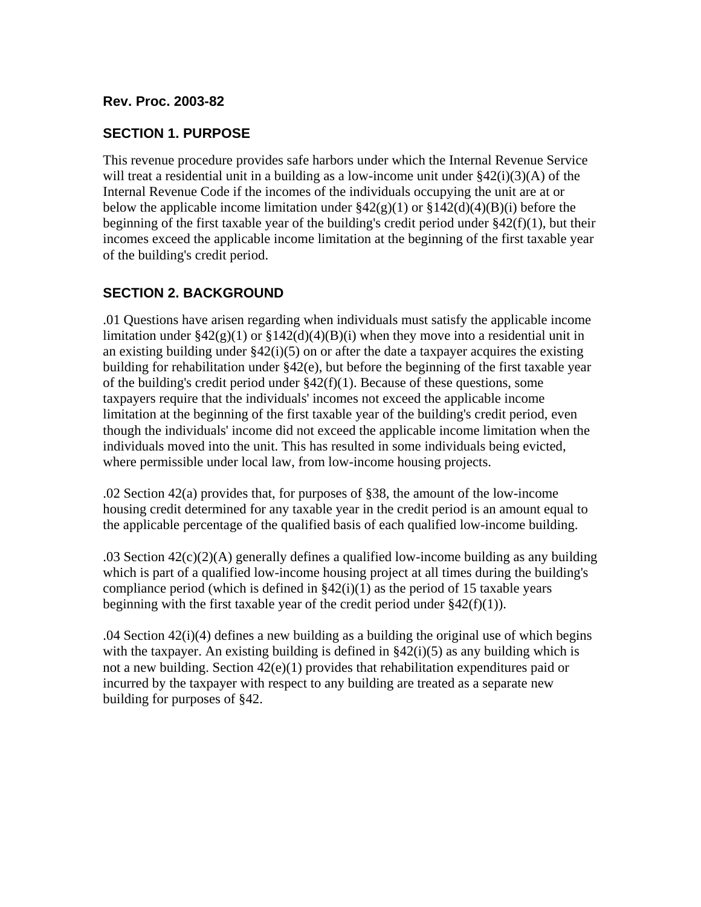#### **Rev. Proc. 2003-82**

#### **SECTION 1. PURPOSE**

This revenue procedure provides safe harbors under which the Internal Revenue Service will treat a residential unit in a building as a low-income unit under  $\S42(i)(3)(A)$  of the Internal Revenue Code if the incomes of the individuals occupying the unit are at or below the applicable income limitation under  $\frac{242(g)(1)}{g(1)}$  or  $\frac{2142(d)(4)(B)(i)}{g(1)}$  before the beginning of the first taxable year of the building's credit period under §42(f)(1), but their incomes exceed the applicable income limitation at the beginning of the first taxable year of the building's credit period.

#### **SECTION 2. BACKGROUND**

.01 Questions have arisen regarding when individuals must satisfy the applicable income limitation under  $\frac{242(g)(1)$  or  $\frac{2142(d)(4)(B)(i)}{2}$  when they move into a residential unit in an existing building under  $\S42(i)(5)$  on or after the date a taxpayer acquires the existing building for rehabilitation under §42(e), but before the beginning of the first taxable year of the building's credit period under  $\S 42(f)(1)$ . Because of these questions, some taxpayers require that the individuals' incomes not exceed the applicable income limitation at the beginning of the first taxable year of the building's credit period, even though the individuals' income did not exceed the applicable income limitation when the individuals moved into the unit. This has resulted in some individuals being evicted, where permissible under local law, from low-income housing projects.

.02 Section 42(a) provides that, for purposes of §38, the amount of the low-income housing credit determined for any taxable year in the credit period is an amount equal to the applicable percentage of the qualified basis of each qualified low-income building.

.03 Section 42(c)(2)(A) generally defines a qualified low-income building as any building which is part of a qualified low-income housing project at all times during the building's compliance period (which is defined in  $\S 42(i)(1)$  as the period of 15 taxable years beginning with the first taxable year of the credit period under  $§42(f)(1)$ .

.04 Section 42(i)(4) defines a new building as a building the original use of which begins with the taxpayer. An existing building is defined in  $\S42(i)(5)$  as any building which is not a new building. Section 42(e)(1) provides that rehabilitation expenditures paid or incurred by the taxpayer with respect to any building are treated as a separate new building for purposes of §42.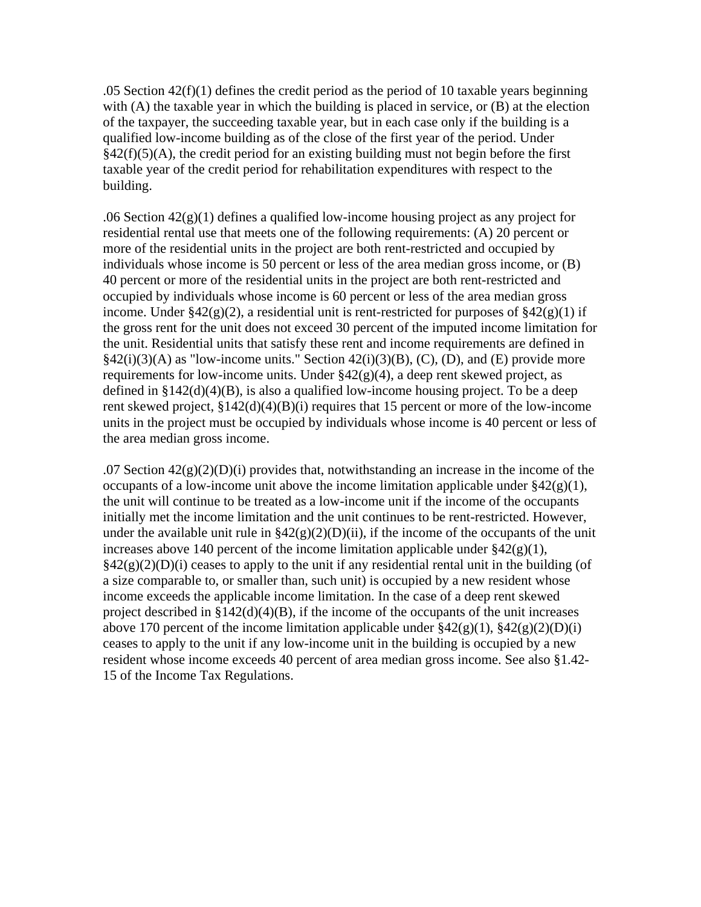.05 Section  $42(f)(1)$  defines the credit period as the period of 10 taxable years beginning with (A) the taxable year in which the building is placed in service, or (B) at the election of the taxpayer, the succeeding taxable year, but in each case only if the building is a qualified low-income building as of the close of the first year of the period. Under  $§42(f)(5)(A)$ , the credit period for an existing building must not begin before the first taxable year of the credit period for rehabilitation expenditures with respect to the building.

.06 Section  $42(g)(1)$  defines a qualified low-income housing project as any project for residential rental use that meets one of the following requirements: (A) 20 percent or more of the residential units in the project are both rent-restricted and occupied by individuals whose income is 50 percent or less of the area median gross income, or (B) 40 percent or more of the residential units in the project are both rent-restricted and occupied by individuals whose income is 60 percent or less of the area median gross income. Under  $\frac{242(g)(2)}{g}$ , a residential unit is rent-restricted for purposes of  $\frac{242(g)(1)}{g}$ the gross rent for the unit does not exceed 30 percent of the imputed income limitation for the unit. Residential units that satisfy these rent and income requirements are defined in  $§42(i)(3)(A)$  as "low-income units." Section  $42(i)(3)(B)$ , (C), (D), and (E) provide more requirements for low-income units. Under  $\S 42(g)(4)$ , a deep rent skewed project, as defined in  $\S 142(d)(4)(B)$ , is also a qualified low-income housing project. To be a deep rent skewed project, §142(d)(4)(B)(i) requires that 15 percent or more of the low-income units in the project must be occupied by individuals whose income is 40 percent or less of the area median gross income.

.07 Section  $42(g)(2)(D)(i)$  provides that, notwithstanding an increase in the income of the occupants of a low-income unit above the income limitation applicable under  $\frac{242(g)(1)}{1}$ , the unit will continue to be treated as a low-income unit if the income of the occupants initially met the income limitation and the unit continues to be rent-restricted. However, under the available unit rule in  $\frac{242(g)(2)(D)(ii)}{i}$ , if the income of the occupants of the unit increases above 140 percent of the income limitation applicable under  $\S 42(g)(1)$ ,  $\S42(g)(2)(D)(i)$  ceases to apply to the unit if any residential rental unit in the building (of a size comparable to, or smaller than, such unit) is occupied by a new resident whose income exceeds the applicable income limitation. In the case of a deep rent skewed project described in  $$142(d)(4)(B)$ , if the income of the occupants of the unit increases above 170 percent of the income limitation applicable under  $\frac{242(g)(1)}{342(g)(2)(D)(i)}$ ceases to apply to the unit if any low-income unit in the building is occupied by a new resident whose income exceeds 40 percent of area median gross income. See also §1.42- 15 of the Income Tax Regulations.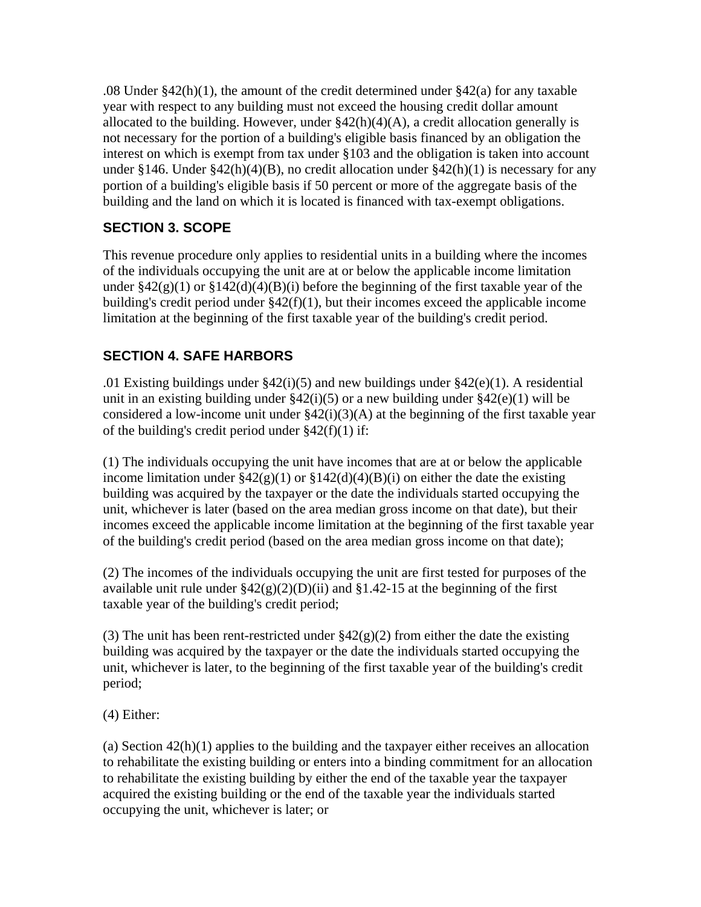.08 Under  $\S42(h)(1)$ , the amount of the credit determined under  $\S42(a)$  for any taxable year with respect to any building must not exceed the housing credit dollar amount allocated to the building. However, under  $\S42(h)(4)(A)$ , a credit allocation generally is not necessary for the portion of a building's eligible basis financed by an obligation the interest on which is exempt from tax under §103 and the obligation is taken into account under §146. Under §42(h)(4)(B), no credit allocation under §42(h)(1) is necessary for any portion of a building's eligible basis if 50 percent or more of the aggregate basis of the building and the land on which it is located is financed with tax-exempt obligations.

# **SECTION 3. SCOPE**

This revenue procedure only applies to residential units in a building where the incomes of the individuals occupying the unit are at or below the applicable income limitation under  $\frac{242(g)(1)}{g(1)}$  or  $\frac{2142(d)(4)(B)(i)}{h(1)}$  before the beginning of the first taxable year of the building's credit period under §42(f)(1), but their incomes exceed the applicable income limitation at the beginning of the first taxable year of the building's credit period.

## **SECTION 4. SAFE HARBORS**

.01 Existing buildings under  $\S42(i)(5)$  and new buildings under  $\S42(e)(1)$ . A residential unit in an existing building under  $\S 42(i)(5)$  or a new building under  $\S 42(e)(1)$  will be considered a low-income unit under  $\S42(i)(3)(A)$  at the beginning of the first taxable year of the building's credit period under  $§42(f)(1)$  if:

(1) The individuals occupying the unit have incomes that are at or below the applicable income limitation under  $\frac{242(g)(1) \text{ or } 142(d)(4)(B)(i)}{2}$  on either the date the existing building was acquired by the taxpayer or the date the individuals started occupying the unit, whichever is later (based on the area median gross income on that date), but their incomes exceed the applicable income limitation at the beginning of the first taxable year of the building's credit period (based on the area median gross income on that date);

(2) The incomes of the individuals occupying the unit are first tested for purposes of the available unit rule under  $\frac{242(g)(2)(D)(ii)}{2}$  and  $\frac{81.42-15}{2}$  at the beginning of the first taxable year of the building's credit period;

(3) The unit has been rent-restricted under  $\S42(g)(2)$  from either the date the existing building was acquired by the taxpayer or the date the individuals started occupying the unit, whichever is later, to the beginning of the first taxable year of the building's credit period;

(4) Either:

(a) Section 42(h)(1) applies to the building and the taxpayer either receives an allocation to rehabilitate the existing building or enters into a binding commitment for an allocation to rehabilitate the existing building by either the end of the taxable year the taxpayer acquired the existing building or the end of the taxable year the individuals started occupying the unit, whichever is later; or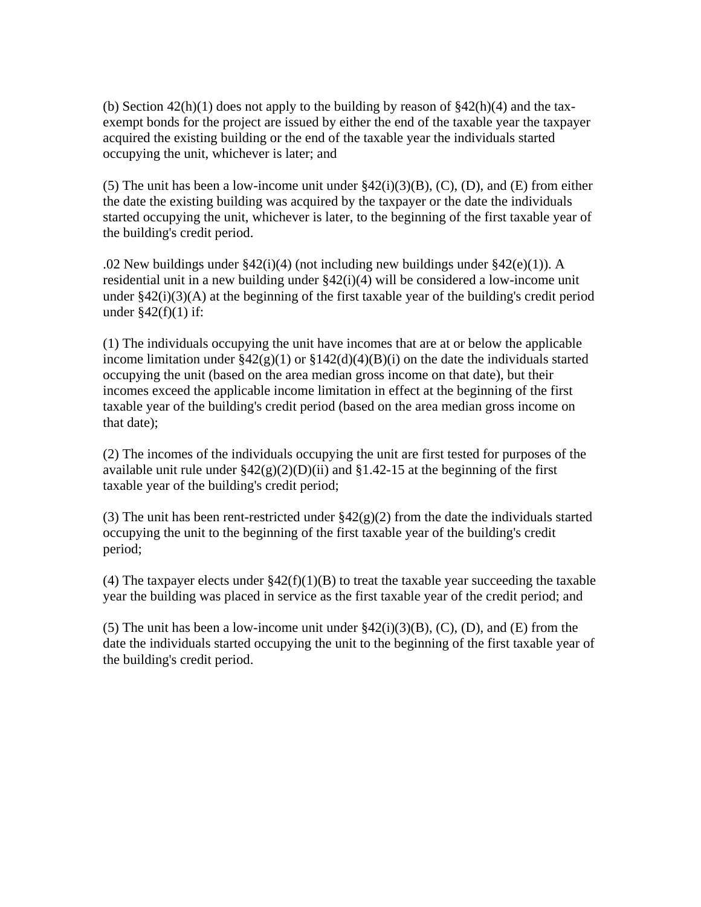(b) Section  $42(h)(1)$  does not apply to the building by reason of  $$42(h)(4)$  and the taxexempt bonds for the project are issued by either the end of the taxable year the taxpayer acquired the existing building or the end of the taxable year the individuals started occupying the unit, whichever is later; and

(5) The unit has been a low-income unit under  $\S42(i)(3)(B)$ , (C), (D), and (E) from either the date the existing building was acquired by the taxpayer or the date the individuals started occupying the unit, whichever is later, to the beginning of the first taxable year of the building's credit period.

.02 New buildings under §42(i)(4) (not including new buildings under §42(e)(1)). A residential unit in a new building under §42(i)(4) will be considered a low-income unit under  $\S 42(i)(3)(A)$  at the beginning of the first taxable year of the building's credit period under  $$42(f)(1)$  if:

(1) The individuals occupying the unit have incomes that are at or below the applicable income limitation under  $\frac{242(g)(1) \text{ or } 2142(d)(4)(B)(i)}{20}$  on the date the individuals started occupying the unit (based on the area median gross income on that date), but their incomes exceed the applicable income limitation in effect at the beginning of the first taxable year of the building's credit period (based on the area median gross income on that date);

(2) The incomes of the individuals occupying the unit are first tested for purposes of the available unit rule under  $\frac{242(g)(2)(D)(ii)}{2}$  and  $\frac{81.42-15}{2}$  at the beginning of the first taxable year of the building's credit period;

(3) The unit has been rent-restricted under  $\frac{842(g)(2)}{2}$  from the date the individuals started occupying the unit to the beginning of the first taxable year of the building's credit period;

(4) The taxpayer elects under  $\S42(f)(1)(B)$  to treat the taxable year succeeding the taxable year the building was placed in service as the first taxable year of the credit period; and

(5) The unit has been a low-income unit under  $\S42(i)(3)(B)$ , (C), (D), and (E) from the date the individuals started occupying the unit to the beginning of the first taxable year of the building's credit period.